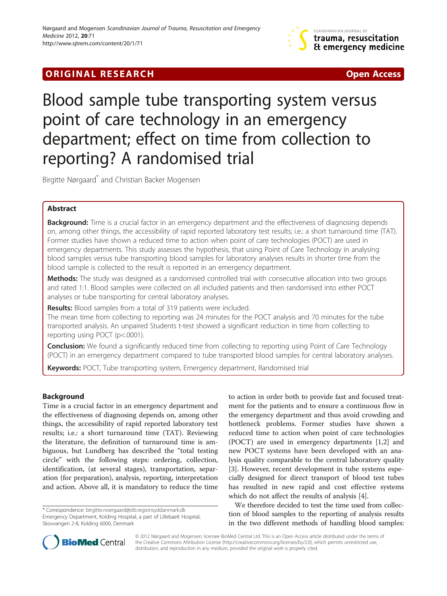

## **ORIGINAL RESEARCH CONFIDENTIAL CONSUMING A LIGHT CONFIDENTIAL CONSUMING A LIGHT CONFIDENTIAL CONFIDENTIAL CONSU**

# Blood sample tube transporting system versus point of care technology in an emergency department; effect on time from collection to reporting? A randomised trial

Birgitte Nørgaard\* and Christian Backer Mogensen

## Abstract

Background: Time is a crucial factor in an emergency department and the effectiveness of diagnosing depends on, among other things, the accessibility of rapid reported laboratory test results; i.e.: a short turnaround time (TAT). Former studies have shown a reduced time to action when point of care technologies (POCT) are used in emergency departments. This study assesses the hypothesis, that using Point of Care Technology in analysing blood samples versus tube transporting blood samples for laboratory analyses results in shorter time from the blood sample is collected to the result is reported in an emergency department.

Methods: The study was designed as a randomised controlled trial with consecutive allocation into two groups and rated 1:1. Blood samples were collected on all included patients and then randomised into either POCT analyses or tube transporting for central laboratory analyses.

Results: Blood samples from a total of 319 patients were included.

The mean time from collecting to reporting was 24 minutes for the POCT analysis and 70 minutes for the tube transported analysis. An unpaired Students t-test showed a significant reduction in time from collecting to reporting using POCT (p<.0001).

**Conclusion:** We found a significantly reduced time from collecting to reporting using Point of Care Technology (POCT) in an emergency department compared to tube transported blood samples for central laboratory analyses.

Keywords: POCT, Tube transporting system, Emergency department, Randomised trial

## Background

Time is a crucial factor in an emergency department and the effectiveness of diagnosing depends on, among other things, the accessibility of rapid reported laboratory test results; i.e.: a short turnaround time (TAT). Reviewing the literature, the definition of turnaround time is ambiguous, but Lundberg has described the "total testing circle" with the following steps: ordering, collection, identification, (at several stages), transportation, separation (for preparation), analysis, reporting, interpretation and action. Above all, it is mandatory to reduce the time

\* Correspondence: [birgitte.noergaard@slb.regionsyddanmark.dk](mailto:birgitte.noergaard@slb.regionsyddanmark.dk) Emergency Department, Kolding Hospital, a part of Lillebaelt Hospital, Skovvangen 2-8, Kolding 6000, Denmark

to action in order both to provide fast and focused treatment for the patients and to ensure a continuous flow in the emergency department and thus avoid crowding and bottleneck problems. Former studies have shown a reduced time to action when point of care technologies (POCT) are used in emergency departments [[1,2\]](#page-3-0) and new POCT systems have been developed with an analysis quality comparable to the central laboratory quality [[3\]](#page-3-0). However, recent development in tube systems especially designed for direct transport of blood test tubes has resulted in new rapid and cost effective systems which do not affect the results of analysis [\[4\]](#page-3-0).

We therefore decided to test the time used from collection of blood samples to the reporting of analysis results in the two different methods of handling blood samples:



© 2012 Nørgaard and Mogensen; licensee BioMed Central Ltd. This is an Open Access article distributed under the terms of the Creative Commons Attribution License [\(http://creativecommons.org/licenses/by/2.0\)](http://creativecommons.org/licenses/by/2.0), which permits unrestricted use, distribution, and reproduction in any medium, provided the original work is properly cited.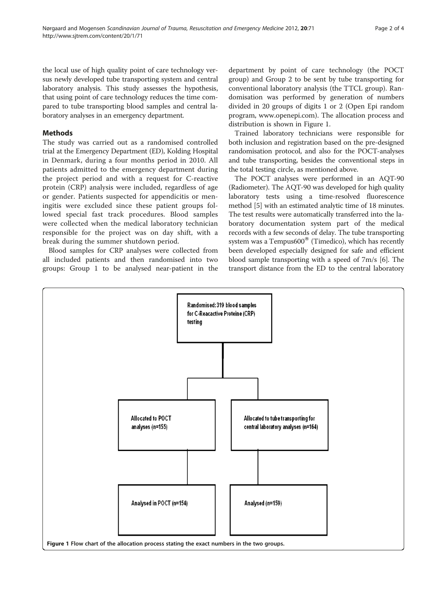<span id="page-1-0"></span>the local use of high quality point of care technology versus newly developed tube transporting system and central laboratory analysis. This study assesses the hypothesis, that using point of care technology reduces the time compared to tube transporting blood samples and central laboratory analyses in an emergency department.

## **Methods**

The study was carried out as a randomised controlled trial at the Emergency Department (ED), Kolding Hospital in Denmark, during a four months period in 2010. All patients admitted to the emergency department during the project period and with a request for C-reactive protein (CRP) analysis were included, regardless of age or gender. Patients suspected for appendicitis or meningitis were excluded since these patient groups followed special fast track procedures. Blood samples were collected when the medical laboratory technician responsible for the project was on day shift, with a break during the summer shutdown period.

Blood samples for CRP analyses were collected from all included patients and then randomised into two groups: Group 1 to be analysed near-patient in the

department by point of care technology (the POCT group) and Group 2 to be sent by tube transporting for conventional laboratory analysis (the TTCL group). Randomisation was performed by generation of numbers divided in 20 groups of digits 1 or 2 (Open Epi random program, [www.openepi.com\)](http://www.openepi.com). The allocation process and distribution is shown in Figure 1.

Trained laboratory technicians were responsible for both inclusion and registration based on the pre-designed randomisation protocol, and also for the POCT-analyses and tube transporting, besides the conventional steps in the total testing circle, as mentioned above.

The POCT analyses were performed in an AQT-90 (Radiometer). The AQT-90 was developed for high quality laboratory tests using a time-resolved fluorescence method [[5](#page-3-0)] with an estimated analytic time of 18 minutes. The test results were automatically transferred into the laboratory documentation system part of the medical records with a few seconds of delay. The tube transporting system was a Tempus $600^{\circ}$  (Timedico), which has recently been developed especially designed for safe and efficient blood sample transporting with a speed of 7m/s [\[6\]](#page-3-0). The transport distance from the ED to the central laboratory

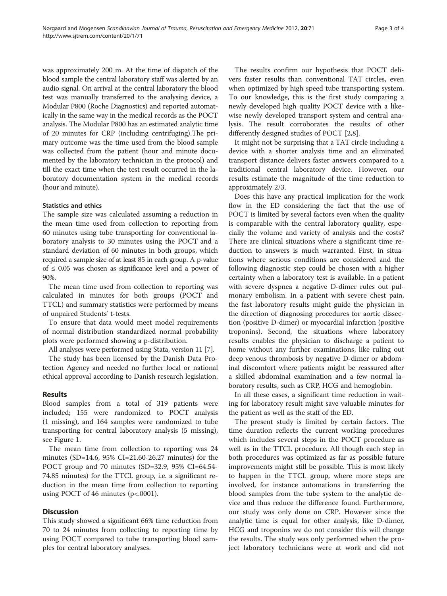was approximately 200 m. At the time of dispatch of the blood sample the central laboratory staff was alerted by an audio signal. On arrival at the central laboratory the blood test was manually transferred to the analysing device, a Modular P800 (Roche Diagnostics) and reported automatically in the same way in the medical records as the POCT analysis. The Modular P800 has an estimated analytic time of 20 minutes for CRP (including centrifuging).The primary outcome was the time used from the blood sample was collected from the patient (hour and minute documented by the laboratory technician in the protocol) and till the exact time when the test result occurred in the laboratory documentation system in the medical records (hour and minute).

#### Statistics and ethics

The sample size was calculated assuming a reduction in the mean time used from collection to reporting from 60 minutes using tube transporting for conventional laboratory analysis to 30 minutes using the POCT and a standard deviation of 60 minutes in both groups, which required a sample size of at least 85 in each group. A p-value of  $\leq$  0.05 was chosen as significance level and a power of 90%.

The mean time used from collection to reporting was calculated in minutes for both groups (POCT and TTCL) and summary statistics were performed by means of unpaired Students' t-tests.

To ensure that data would meet model requirements of normal distribution standardized normal probability plots were performed showing a p-distribution.

All analyses were performed using Stata, version 11 [[7\]](#page-3-0).

The study has been licensed by the Danish Data Protection Agency and needed no further local or national ethical approval according to Danish research legislation.

#### Results

Blood samples from a total of 319 patients were included; 155 were randomized to POCT analysis (1 missing), and 164 samples were randomized to tube transporting for central laboratory analysis (5 missing), see Figure [1.](#page-1-0)

The mean time from collection to reporting was 24 minutes (SD=14.6, 95% CI=21.60-26.27 minutes) for the POCT group and 70 minutes (SD=32.9, 95% CI=64.54- 74.85 minutes) for the TTCL group, i.e. a significant reduction in the mean time from collection to reporting using POCT of 46 minutes (p<.0001).

#### **Discussion**

This study showed a significant 66% time reduction from 70 to 24 minutes from collecting to reporting time by using POCT compared to tube transporting blood samples for central laboratory analyses.

The results confirm our hypothesis that POCT delivers faster results than conventional TAT circles, even when optimized by high speed tube transporting system. To our knowledge, this is the first study comparing a newly developed high quality POCT device with a likewise newly developed transport system and central analysis. The result corroborates the results of other differently designed studies of POCT [[2](#page-3-0),[8\]](#page-3-0).

It might not be surprising that a TAT circle including a device with a shorter analysis time and an eliminated transport distance delivers faster answers compared to a traditional central laboratory device. However, our results estimate the magnitude of the time reduction to approximately 2/3.

Does this have any practical implication for the work flow in the ED considering the fact that the use of POCT is limited by several factors even when the quality is comparable with the central laboratory quality, especially the volume and variety of analysis and the costs? There are clinical situations where a significant time reduction to answers is much warranted. First, in situations where serious conditions are considered and the following diagnostic step could be chosen with a higher certainty when a laboratory test is available. In a patient with severe dyspnea a negative D-dimer rules out pulmonary embolism. In a patient with severe chest pain, the fast laboratory results might guide the physician in the direction of diagnosing procedures for aortic dissection (positive D-dimer) or myocardial infarction (positive troponins). Second, the situations where laboratory results enables the physician to discharge a patient to home without any further examinations, like ruling out deep venous thrombosis by negative D-dimer or abdominal discomfort where patients might be reassured after a skilled abdominal examination and a few normal laboratory results, such as CRP, HCG and hemoglobin.

In all these cases, a significant time reduction in waiting for laboratory result might save valuable minutes for the patient as well as the staff of the ED.

The present study is limited by certain factors. The time duration reflects the current working procedures which includes several steps in the POCT procedure as well as in the TTCL procedure. All though each step in both procedures was optimized as far as possible future improvements might still be possible. This is most likely to happen in the TTCL group, where more steps are involved, for instance automations in transferring the blood samples from the tube system to the analytic device and thus reduce the difference found. Furthermore, our study was only done on CRP. However since the analytic time is equal for other analysis, like D-dimer, HCG and troponins we do not consider this will change the results. The study was only performed when the project laboratory technicians were at work and did not